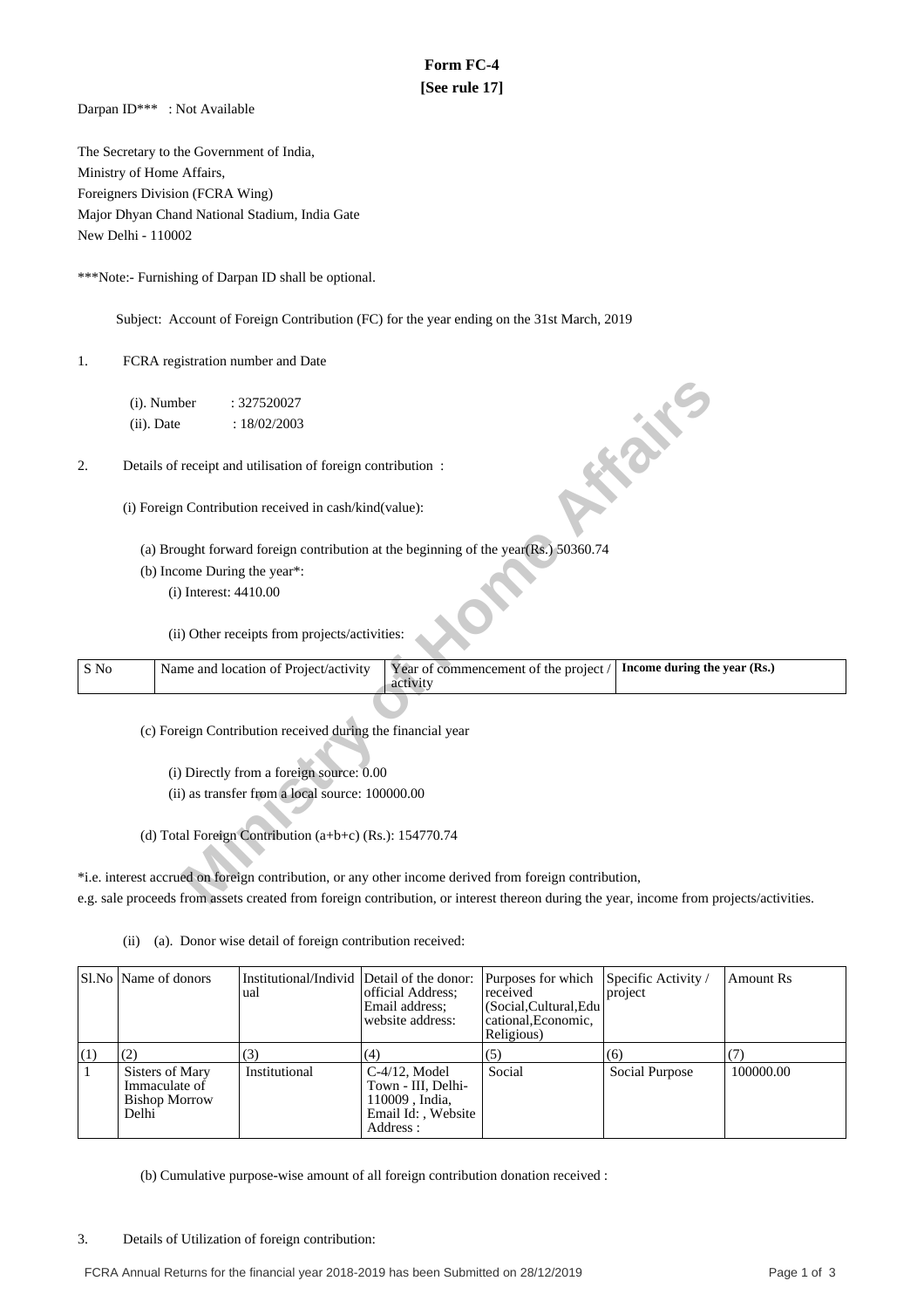# **Form FC-4 [See rule 17]**

Darpan ID\*\*\* : Not Available

The Secretary to the Government of India, Ministry of Home Affairs, Foreigners Division (FCRA Wing) Major Dhyan Chand National Stadium, India Gate New Delhi - 110002

\*\*\*Note:- Furnishing of Darpan ID shall be optional.

Subject: Account of Foreign Contribution (FC) for the year ending on the 31st March, 2019

1. FCRA registration number and Date

- (a) Brought forward foreign contribution at the beginning of the year(Rs.) 50360.74
- (b) Income During the year\*:

|      | (i). Number   |                         | : 327520027                                                 |                                                                                                                                         |                              |
|------|---------------|-------------------------|-------------------------------------------------------------|-----------------------------------------------------------------------------------------------------------------------------------------|------------------------------|
|      | $(ii)$ . Date |                         | : 18/02/2003                                                |                                                                                                                                         |                              |
|      |               |                         |                                                             |                                                                                                                                         | <b>SOFT</b>                  |
| 2.   |               |                         | Details of receipt and utilisation of foreign contribution: |                                                                                                                                         |                              |
|      |               |                         |                                                             |                                                                                                                                         |                              |
|      |               |                         | (i) Foreign Contribution received in cash/kind(value):      |                                                                                                                                         |                              |
|      |               |                         |                                                             |                                                                                                                                         |                              |
|      |               |                         |                                                             | (a) Brought forward foreign contribution at the beginning of the year(Rs.) 50360.74                                                     |                              |
|      |               |                         | (b) Income During the year*:                                |                                                                                                                                         |                              |
|      |               | $(i)$ Interest: 4410.00 |                                                             |                                                                                                                                         |                              |
|      |               |                         |                                                             |                                                                                                                                         |                              |
|      |               |                         | (ii) Other receipts from projects/activities:               |                                                                                                                                         |                              |
|      |               |                         |                                                             |                                                                                                                                         |                              |
| S No |               |                         | Name and location of Project/activity                       | Year of commencement of the project /<br>activity                                                                                       | Income during the year (Rs.) |
|      |               |                         |                                                             |                                                                                                                                         |                              |
|      |               |                         | (c) Foreign Contribution received during the financial year |                                                                                                                                         |                              |
|      |               |                         |                                                             |                                                                                                                                         |                              |
|      |               |                         | (i) Directly from a foreign source: 0.00                    |                                                                                                                                         |                              |
|      |               |                         | (ii) as transfer from a local source: 100000.00             |                                                                                                                                         |                              |
|      |               |                         |                                                             |                                                                                                                                         |                              |
|      |               |                         | (d) Total Foreign Contribution (a+b+c) (Rs.): 154770.74     |                                                                                                                                         |                              |
|      |               |                         |                                                             |                                                                                                                                         |                              |
|      |               |                         |                                                             | *i.e. interest accrued on foreign contribution, or any other income derived from foreign contribution,                                  |                              |
|      |               |                         |                                                             | e.g. sale proceeds from assets created from foreign contribution, or interest thereon during the year, income from projects/activities. |                              |
|      |               |                         |                                                             |                                                                                                                                         |                              |

(ii) (a). Donor wise detail of foreign contribution received:

|      | Sl.No   Name of donors                                            | Institutional/Individ Detail of the donor:<br>ual | official Address:<br>Email address:<br>website address:                                     | Purposes for which Specific Activity /<br>received<br>(Social, Cultural, Edu<br>cational, Economic,<br>Religious) | project        | Amount Rs |
|------|-------------------------------------------------------------------|---------------------------------------------------|---------------------------------------------------------------------------------------------|-------------------------------------------------------------------------------------------------------------------|----------------|-----------|
| [(1) |                                                                   | (3)                                               | (4)                                                                                         | (5)                                                                                                               | (6)            |           |
|      | Sisters of Mary<br>Immaculate of<br><b>Bishop Morrow</b><br>Delhi | Institutional                                     | $C-4/12$ , Model<br>Town - III, Delhi-<br>110009, India,<br>Email Id:, Website<br>Address : | Social                                                                                                            | Social Purpose | 100000.00 |

(b) Cumulative purpose-wise amount of all foreign contribution donation received :

3. Details of Utilization of foreign contribution: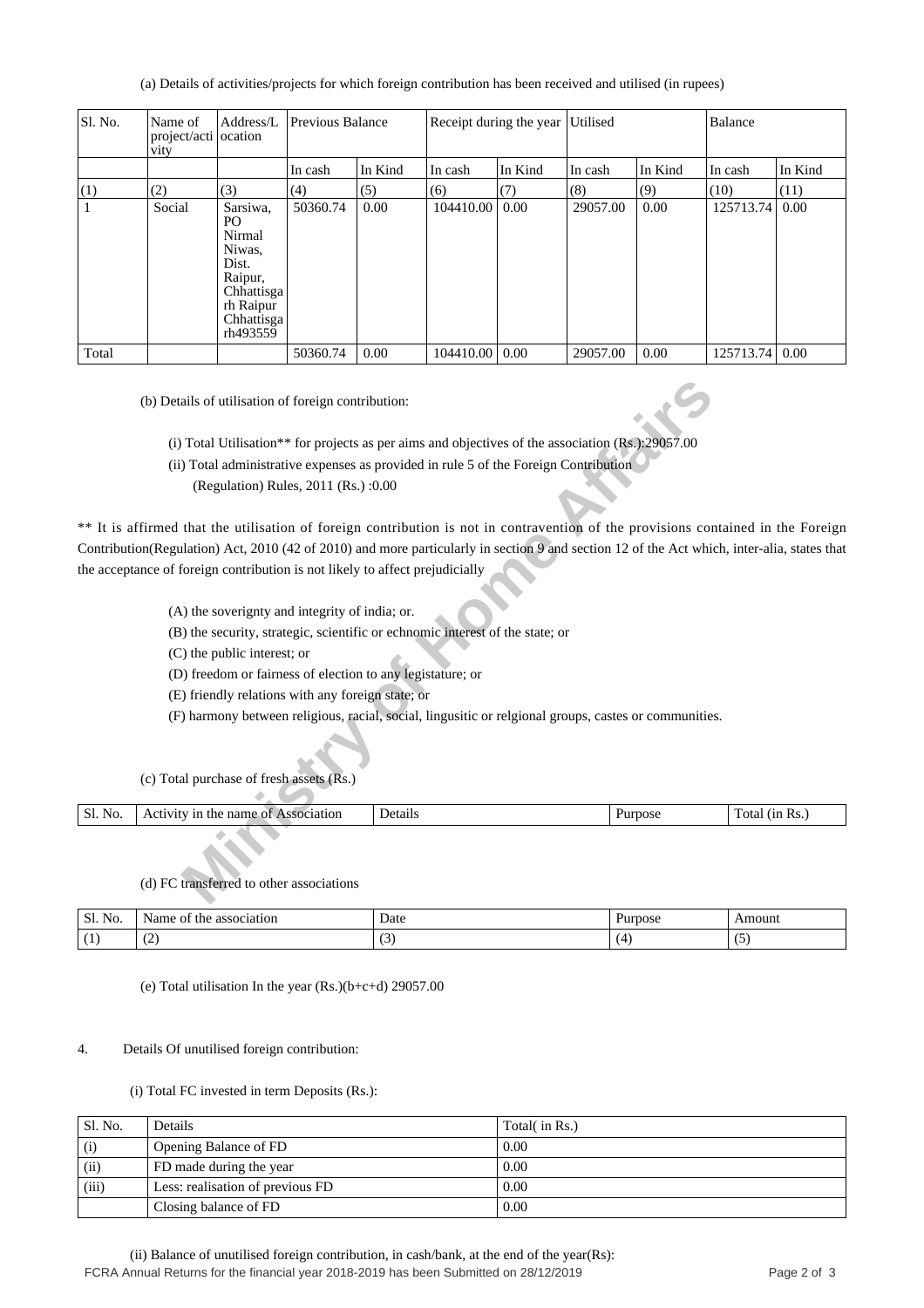(a) Details of activities/projects for which foreign contribution has been received and utilised (in rupees)

| Sl. No.      | Name of<br>project/acti ocation<br>vity | Address/L                                                                                                   | Previous Balance |         | Receipt during the year Utilised |         |          |         | Balance   |         |
|--------------|-----------------------------------------|-------------------------------------------------------------------------------------------------------------|------------------|---------|----------------------------------|---------|----------|---------|-----------|---------|
|              |                                         |                                                                                                             | In cash          | In Kind | In cash                          | In Kind | In cash  | In Kind | In cash   | In Kind |
| (1)          | (2)                                     | (3)                                                                                                         | (4)              | (5)     | (6)                              | (7)     | (8)      | (9)     | (10)      | (11)    |
| $\mathbf{1}$ | Social                                  | Sarsiwa.<br>PO<br>Nirmal<br>Niwas,<br>Dist.<br>Raipur,<br>Chhattisga<br>rh Raipur<br>Chhattisga<br>rh493559 | 50360.74         | 0.00    | 104410.00                        | 0.00    | 29057.00 | 0.00    | 125713.74 | 0.00    |
| Total        |                                         |                                                                                                             | 50360.74         | 0.00    | 104410.00                        | 0.00    | 29057.00 | 0.00    | 125713.74 | 0.00    |

(b) Details of utilisation of foreign contribution:

(i) Total Utilisation\*\* for projects as per aims and objectives of the association (Rs.):29057.00

- (ii) Total administrative expenses as provided in rule 5 of the Foreign Contribution
	- (Regulation) Rules, 2011 (Rs.) :0.00

ails of utilisation of foreign contribution:<br> **Minister of the Transmark of the Solution** (Rs. 20057.00)<br>
Total Utilisation<sup>\*\*</sup> for projects as per aims and objectives of the association (Rs. 20057.00<br>
(Regulation) Rules, \*\* It is affirmed that the utilisation of foreign contribution is not in contravention of the provisions contained in the Foreign Contribution(Regulation) Act, 2010 (42 of 2010) and more particularly in section 9 and section 12 of the Act which, inter-alia, states that the acceptance of foreign contribution is not likely to affect prejudicially

- (A) the soverignty and integrity of india; or.
- (B) the security, strategic, scientific or echnomic interest of the state; or
- (C) the public interest; or
- (D) freedom or fairness of election to any legistature; or
- (E) friendly relations with any foreign state; or
- (F) harmony between religious, racial, social, lingusitic or relgional groups, castes or communities.

(c) Total purchase of fresh assets (Rs.)

| $\sim$ 1<br>No.<br>ЭI. | name<br>ciation<br>the.<br>ി∿<br>$\mathbf{A}$<br>$\cdots$<br><br>`` | $\sim$ $\sim$<br>betail: | pose | (1n<br>KS.<br>∎ota. |
|------------------------|---------------------------------------------------------------------|--------------------------|------|---------------------|
|                        |                                                                     |                          |      |                     |

## (d) FC transferred to other associations

| Sl.<br>$\mathbf{r}$<br>N <sub>O</sub> . | Name,<br>association<br>O1<br>the      | Date                            | Purpose | Amount     |
|-----------------------------------------|----------------------------------------|---------------------------------|---------|------------|
|                                         | $\sqrt{2}$<br>$\overline{\phantom{0}}$ | $\sim$<br>$\tilde{\phantom{a}}$ |         | . .<br>. . |

(e) Total utilisation In the year (Rs.)(b+c+d) 29057.00

#### 4. Details Of unutilised foreign contribution:

#### (i) Total FC invested in term Deposits (Rs.):

| Sl. No. | Details                          | Total( in Rs.) |
|---------|----------------------------------|----------------|
| (i)     | Opening Balance of FD            | 0.00           |
| (ii)    | FD made during the year          | 0.00           |
| (iii)   | Less: realisation of previous FD | 0.00           |
|         | Closing balance of FD            | 0.00           |